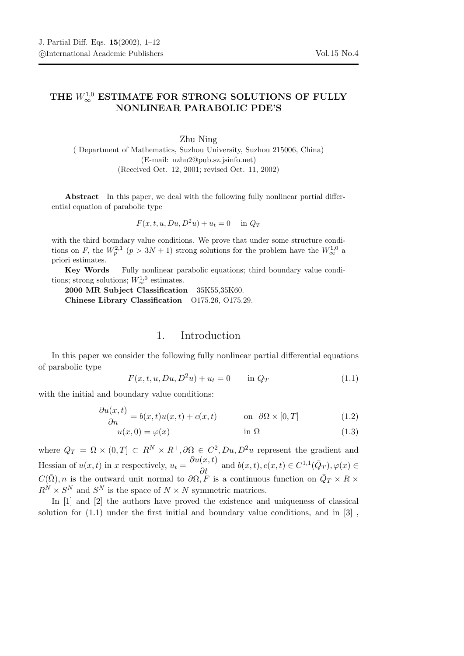## THE  $W^{1,0}_\infty$  ESTIMATE FOR STRONG SOLUTIONS OF FULLY NONLINEAR PARABOLIC PDE'S

Zhu Ning ( Department of Mathematics, Suzhou University, Suzhou 215006, China) (E-mail: nzhu2@pub.sz.jsinfo.net) (Received Oct. 12, 2001; revised Oct. 11, 2002)

Abstract In this paper, we deal with the following fully nonlinear partial differential equation of parabolic type

$$
F(x, t, u, Du, D^2u) + u_t = 0 \quad \text{in } Q_T
$$

with the third boundary value conditions. We prove that under some structure conditions on F, the  $W_p^{2,1}$   $(p > 3N + 1)$  strong solutions for the problem have the  $W_\infty^{1,0}$  a priori estimates.

Key Words Fully nonlinear parabolic equations; third boundary value conditions; strong solutions;  $W^{1,0}_{\infty}$  estimates.

2000 MR Subject Classification 35K55,35K60. Chinese Library Classification O175.26, O175.29.

## 1. Introduction

In this paper we consider the following fully nonlinear partial differential equations of parabolic type

$$
F(x, t, u, Du, D^2u) + u_t = 0 \quad \text{in } Q_T \tag{1.1}
$$

with the initial and boundary value conditions:

$$
\frac{\partial u(x,t)}{\partial n} = b(x,t)u(x,t) + c(x,t) \quad \text{on } \partial \Omega \times [0,T] \tag{1.2}
$$

$$
u(x,0) = \varphi(x) \qquad \qquad \text{in } \Omega \tag{1.3}
$$

where  $Q_T = \Omega \times (0,T] \subset R^N \times R^+, \partial \Omega \in C^2, Du, D^2u$  represent the gradient and Hessian of  $u(x,t)$  in x respectively,  $u_t = \frac{\partial u(x,t)}{\partial t}$  and  $b(x,t), c(x,t) \in C^{1,1}(\bar{Q}_T), \varphi(x) \in C^{1,1}(\bar{Q}_T)$  $C(\bar{\Omega}), n$  is the outward unit normal to  $\partial \Omega, \tilde{F}$  is a continuous function on  $\bar{Q}_T \times R \times$  $R^N \times S^N$  and  $S^N$  is the space of  $N \times N$  symmetric matrices.

In [1] and [2] the authors have proved the existence and uniqueness of classical solution for  $(1.1)$  under the first initial and boundary value conditions, and in  $[3]$ ,